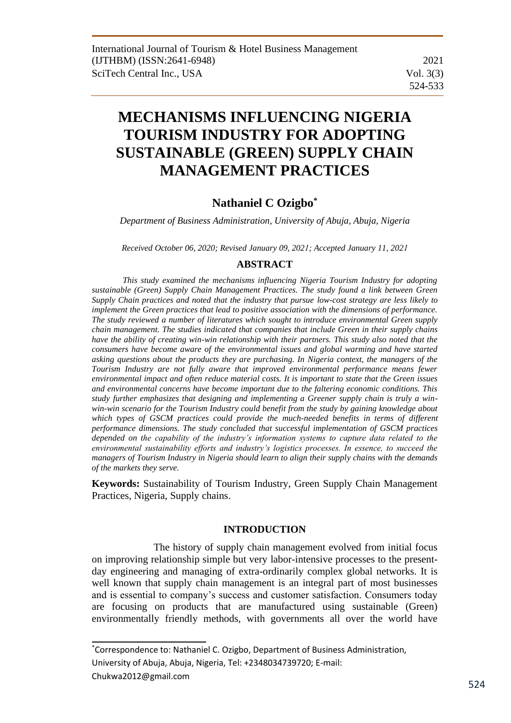# **MECHANISMS INFLUENCING NIGERIA TOURISM INDUSTRY FOR ADOPTING SUSTAINABLE (GREEN) SUPPLY CHAIN MANAGEMENT PRACTICES**

# **Nathaniel C Ozigbo\***

*Department of Business Administration, University of Abuja, Abuja, Nigeria* 

*Received October 06, 2020; Revised January 09, 2021; Accepted January 11, 2021*

# **ABSTRACT**

*This study examined the mechanisms influencing Nigeria Tourism Industry for adopting sustainable (Green) Supply Chain Management Practices. The study found a link between Green Supply Chain practices and noted that the industry that pursue low-cost strategy are less likely to implement the Green practices that lead to positive association with the dimensions of performance. The study reviewed a number of literatures which sought to introduce environmental Green supply chain management. The studies indicated that companies that include Green in their supply chains have the ability of creating win-win relationship with their partners. This study also noted that the consumers have become aware of the environmental issues and global warming and have started asking questions about the products they are purchasing. In Nigeria context, the managers of the Tourism Industry are not fully aware that improved environmental performance means fewer environmental impact and often reduce material costs. It is important to state that the Green issues and environmental concerns have become important due to the faltering economic conditions. This study further emphasizes that designing and implementing a Greener supply chain is truly a winwin-win scenario for the Tourism Industry could benefit from the study by gaining knowledge about which types of GSCM practices could provide the much-needed benefits in terms of different performance dimensions. The study concluded that successful implementation of GSCM practices depended on the capability of the industry's information systems to capture data related to the environmental sustainability efforts and industry's logistics processes. In essence, to succeed the managers of Tourism Industry in Nigeria should learn to align their supply chains with the demands of the markets they serve.* 

**Keywords:** Sustainability of Tourism Industry, Green Supply Chain Management Practices, Nigeria, Supply chains.

# **INTRODUCTION**

The history of supply chain management evolved from initial focus on improving relationship simple but very labor-intensive processes to the presentday engineering and managing of extra-ordinarily complex global networks. It is well known that supply chain management is an integral part of most businesses and is essential to company's success and customer satisfaction. Consumers today are focusing on products that are manufactured using sustainable (Green) environmentally friendly methods, with governments all over the world have

\*Correspondence to: Nathaniel C. Ozigbo, Department of Business Administration, University of Abuja, Abuja, Nigeria, Tel: +2348034739720; E-mail:

Chukwa2012@gmail.com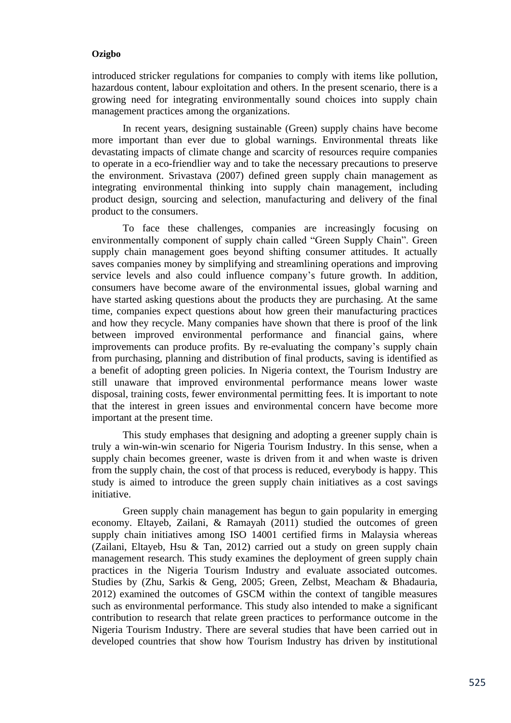introduced stricker regulations for companies to comply with items like pollution, hazardous content, labour exploitation and others. In the present scenario, there is a growing need for integrating environmentally sound choices into supply chain management practices among the organizations.

In recent years, designing sustainable (Green) supply chains have become more important than ever due to global warnings. Environmental threats like devastating impacts of climate change and scarcity of resources require companies to operate in a eco-friendlier way and to take the necessary precautions to preserve the environment. Srivastava (2007) defined green supply chain management as integrating environmental thinking into supply chain management, including product design, sourcing and selection, manufacturing and delivery of the final product to the consumers.

To face these challenges, companies are increasingly focusing on environmentally component of supply chain called "Green Supply Chain". Green supply chain management goes beyond shifting consumer attitudes. It actually saves companies money by simplifying and streamlining operations and improving service levels and also could influence company's future growth. In addition, consumers have become aware of the environmental issues, global warning and have started asking questions about the products they are purchasing. At the same time, companies expect questions about how green their manufacturing practices and how they recycle. Many companies have shown that there is proof of the link between improved environmental performance and financial gains, where improvements can produce profits. By re-evaluating the company's supply chain from purchasing, planning and distribution of final products, saving is identified as a benefit of adopting green policies. In Nigeria context, the Tourism Industry are still unaware that improved environmental performance means lower waste disposal, training costs, fewer environmental permitting fees. It is important to note that the interest in green issues and environmental concern have become more important at the present time.

This study emphases that designing and adopting a greener supply chain is truly a win-win-win scenario for Nigeria Tourism Industry. In this sense, when a supply chain becomes greener, waste is driven from it and when waste is driven from the supply chain, the cost of that process is reduced, everybody is happy. This study is aimed to introduce the green supply chain initiatives as a cost savings initiative.

Green supply chain management has begun to gain popularity in emerging economy. Eltayeb, Zailani, & Ramayah (2011) studied the outcomes of green supply chain initiatives among ISO 14001 certified firms in Malaysia whereas (Zailani, Eltayeb, Hsu & Tan, 2012) carried out a study on green supply chain management research. This study examines the deployment of green supply chain practices in the Nigeria Tourism Industry and evaluate associated outcomes. Studies by (Zhu, Sarkis & Geng, 2005; Green, Zelbst, Meacham & Bhadauria, 2012) examined the outcomes of GSCM within the context of tangible measures such as environmental performance. This study also intended to make a significant contribution to research that relate green practices to performance outcome in the Nigeria Tourism Industry. There are several studies that have been carried out in developed countries that show how Tourism Industry has driven by institutional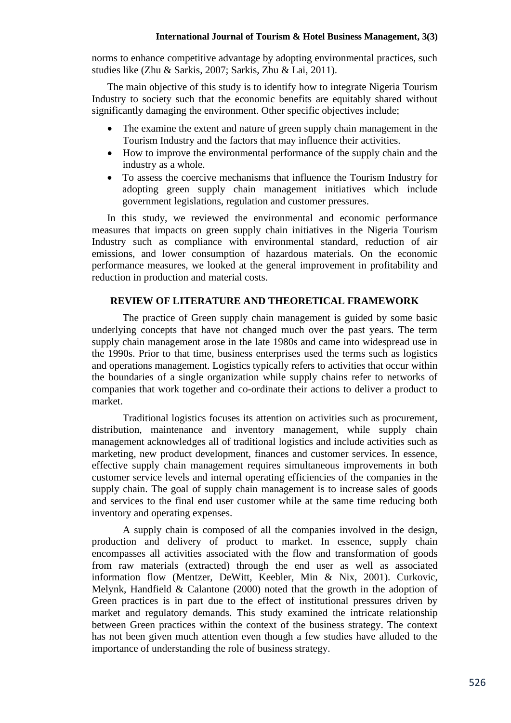#### **International Journal of Tourism & Hotel Business Management, 3(3)**

norms to enhance competitive advantage by adopting environmental practices, such studies like (Zhu & Sarkis, 2007; Sarkis, Zhu & Lai, 2011).

The main objective of this study is to identify how to integrate Nigeria Tourism Industry to society such that the economic benefits are equitably shared without significantly damaging the environment. Other specific objectives include;

- The examine the extent and nature of green supply chain management in the Tourism Industry and the factors that may influence their activities.
- How to improve the environmental performance of the supply chain and the industry as a whole.
- To assess the coercive mechanisms that influence the Tourism Industry for adopting green supply chain management initiatives which include government legislations, regulation and customer pressures.

In this study, we reviewed the environmental and economic performance measures that impacts on green supply chain initiatives in the Nigeria Tourism Industry such as compliance with environmental standard, reduction of air emissions, and lower consumption of hazardous materials. On the economic performance measures, we looked at the general improvement in profitability and reduction in production and material costs.

# **REVIEW OF LITERATURE AND THEORETICAL FRAMEWORK**

The practice of Green supply chain management is guided by some basic underlying concepts that have not changed much over the past years. The term supply chain management arose in the late 1980s and came into widespread use in the 1990s. Prior to that time, business enterprises used the terms such as logistics and operations management. Logistics typically refers to activities that occur within the boundaries of a single organization while supply chains refer to networks of companies that work together and co-ordinate their actions to deliver a product to market.

Traditional logistics focuses its attention on activities such as procurement, distribution, maintenance and inventory management, while supply chain management acknowledges all of traditional logistics and include activities such as marketing, new product development, finances and customer services. In essence, effective supply chain management requires simultaneous improvements in both customer service levels and internal operating efficiencies of the companies in the supply chain. The goal of supply chain management is to increase sales of goods and services to the final end user customer while at the same time reducing both inventory and operating expenses.

A supply chain is composed of all the companies involved in the design, production and delivery of product to market. In essence, supply chain encompasses all activities associated with the flow and transformation of goods from raw materials (extracted) through the end user as well as associated information flow (Mentzer, DeWitt, Keebler, Min & Nix, 2001). Curkovic, Melynk, Handfield & Calantone (2000) noted that the growth in the adoption of Green practices is in part due to the effect of institutional pressures driven by market and regulatory demands. This study examined the intricate relationship between Green practices within the context of the business strategy. The context has not been given much attention even though a few studies have alluded to the importance of understanding the role of business strategy.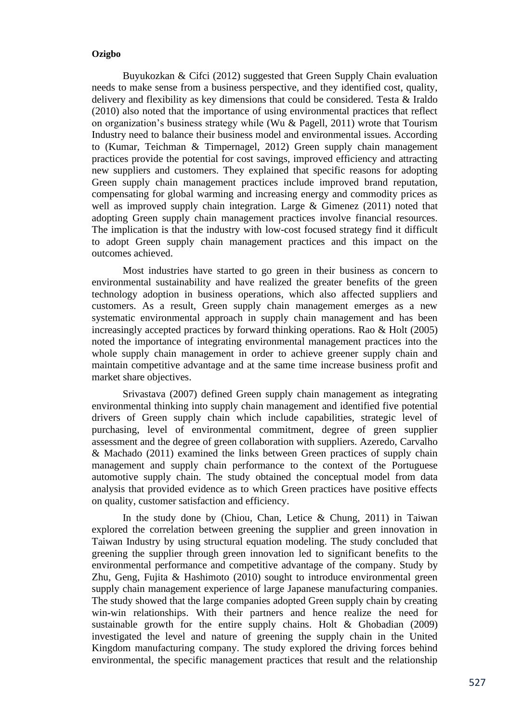Buyukozkan & Cifci (2012) suggested that Green Supply Chain evaluation needs to make sense from a business perspective, and they identified cost, quality, delivery and flexibility as key dimensions that could be considered. Testa & Iraldo (2010) also noted that the importance of using environmental practices that reflect on organization's business strategy while (Wu & Pagell, 2011) wrote that Tourism Industry need to balance their business model and environmental issues. According to (Kumar, Teichman & Timpernagel, 2012) Green supply chain management practices provide the potential for cost savings, improved efficiency and attracting new suppliers and customers. They explained that specific reasons for adopting Green supply chain management practices include improved brand reputation, compensating for global warming and increasing energy and commodity prices as well as improved supply chain integration. Large & Gimenez (2011) noted that adopting Green supply chain management practices involve financial resources. The implication is that the industry with low-cost focused strategy find it difficult to adopt Green supply chain management practices and this impact on the outcomes achieved.

Most industries have started to go green in their business as concern to environmental sustainability and have realized the greater benefits of the green technology adoption in business operations, which also affected suppliers and customers. As a result, Green supply chain management emerges as a new systematic environmental approach in supply chain management and has been increasingly accepted practices by forward thinking operations. Rao & Holt (2005) noted the importance of integrating environmental management practices into the whole supply chain management in order to achieve greener supply chain and maintain competitive advantage and at the same time increase business profit and market share objectives.

Srivastava (2007) defined Green supply chain management as integrating environmental thinking into supply chain management and identified five potential drivers of Green supply chain which include capabilities, strategic level of purchasing, level of environmental commitment, degree of green supplier assessment and the degree of green collaboration with suppliers. Azeredo, Carvalho & Machado (2011) examined the links between Green practices of supply chain management and supply chain performance to the context of the Portuguese automotive supply chain. The study obtained the conceptual model from data analysis that provided evidence as to which Green practices have positive effects on quality, customer satisfaction and efficiency.

In the study done by (Chiou, Chan, Letice & Chung, 2011) in Taiwan explored the correlation between greening the supplier and green innovation in Taiwan Industry by using structural equation modeling. The study concluded that greening the supplier through green innovation led to significant benefits to the environmental performance and competitive advantage of the company. Study by Zhu, Geng, Fujita & Hashimoto (2010) sought to introduce environmental green supply chain management experience of large Japanese manufacturing companies. The study showed that the large companies adopted Green supply chain by creating win-win relationships. With their partners and hence realize the need for sustainable growth for the entire supply chains. Holt & Ghobadian (2009) investigated the level and nature of greening the supply chain in the United Kingdom manufacturing company. The study explored the driving forces behind environmental, the specific management practices that result and the relationship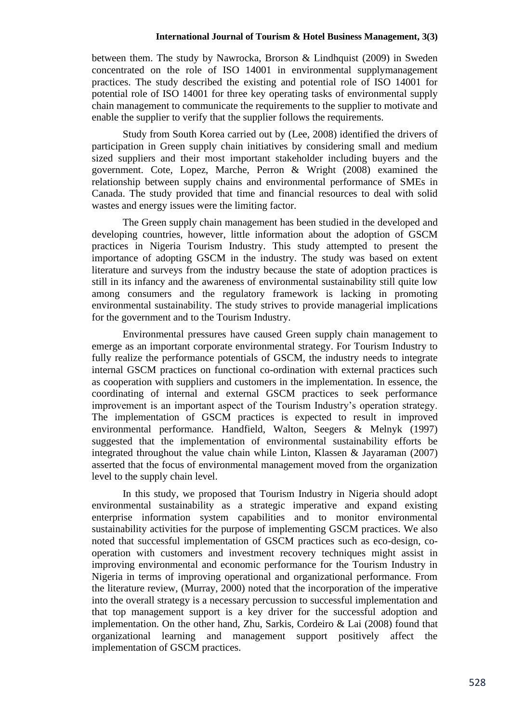between them. The study by Nawrocka, Brorson & Lindhquist (2009) in Sweden concentrated on the role of ISO 14001 in environmental supplymanagement practices. The study described the existing and potential role of ISO 14001 for potential role of ISO 14001 for three key operating tasks of environmental supply chain management to communicate the requirements to the supplier to motivate and enable the supplier to verify that the supplier follows the requirements.

Study from South Korea carried out by (Lee, 2008) identified the drivers of participation in Green supply chain initiatives by considering small and medium sized suppliers and their most important stakeholder including buyers and the government. Cote, Lopez, Marche, Perron & Wright (2008) examined the relationship between supply chains and environmental performance of SMEs in Canada. The study provided that time and financial resources to deal with solid wastes and energy issues were the limiting factor.

The Green supply chain management has been studied in the developed and developing countries, however, little information about the adoption of GSCM practices in Nigeria Tourism Industry. This study attempted to present the importance of adopting GSCM in the industry. The study was based on extent literature and surveys from the industry because the state of adoption practices is still in its infancy and the awareness of environmental sustainability still quite low among consumers and the regulatory framework is lacking in promoting environmental sustainability. The study strives to provide managerial implications for the government and to the Tourism Industry.

Environmental pressures have caused Green supply chain management to emerge as an important corporate environmental strategy. For Tourism Industry to fully realize the performance potentials of GSCM, the industry needs to integrate internal GSCM practices on functional co-ordination with external practices such as cooperation with suppliers and customers in the implementation. In essence, the coordinating of internal and external GSCM practices to seek performance improvement is an important aspect of the Tourism Industry's operation strategy. The implementation of GSCM practices is expected to result in improved environmental performance. Handfield, Walton, Seegers & Melnyk (1997) suggested that the implementation of environmental sustainability efforts be integrated throughout the value chain while Linton, Klassen & Jayaraman (2007) asserted that the focus of environmental management moved from the organization level to the supply chain level.

In this study, we proposed that Tourism Industry in Nigeria should adopt environmental sustainability as a strategic imperative and expand existing enterprise information system capabilities and to monitor environmental sustainability activities for the purpose of implementing GSCM practices. We also noted that successful implementation of GSCM practices such as eco-design, cooperation with customers and investment recovery techniques might assist in improving environmental and economic performance for the Tourism Industry in Nigeria in terms of improving operational and organizational performance. From the literature review, (Murray, 2000) noted that the incorporation of the imperative into the overall strategy is a necessary percussion to successful implementation and that top management support is a key driver for the successful adoption and implementation. On the other hand, Zhu, Sarkis, Cordeiro & Lai (2008) found that organizational learning and management support positively affect the implementation of GSCM practices.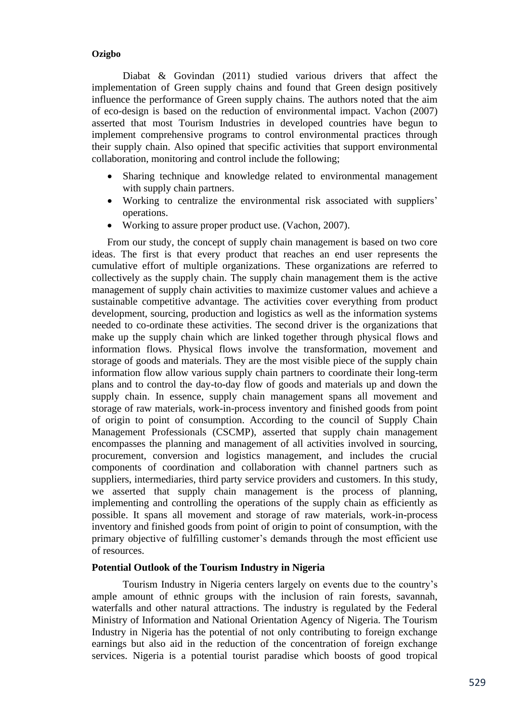Diabat & Govindan (2011) studied various drivers that affect the implementation of Green supply chains and found that Green design positively influence the performance of Green supply chains. The authors noted that the aim of eco-design is based on the reduction of environmental impact. Vachon (2007) asserted that most Tourism Industries in developed countries have begun to implement comprehensive programs to control environmental practices through their supply chain. Also opined that specific activities that support environmental collaboration, monitoring and control include the following;

- Sharing technique and knowledge related to environmental management with supply chain partners.
- Working to centralize the environmental risk associated with suppliers' operations.
- Working to assure proper product use. (Vachon, 2007).

From our study, the concept of supply chain management is based on two core ideas. The first is that every product that reaches an end user represents the cumulative effort of multiple organizations. These organizations are referred to collectively as the supply chain. The supply chain management them is the active management of supply chain activities to maximize customer values and achieve a sustainable competitive advantage. The activities cover everything from product development, sourcing, production and logistics as well as the information systems needed to co-ordinate these activities. The second driver is the organizations that make up the supply chain which are linked together through physical flows and information flows. Physical flows involve the transformation, movement and storage of goods and materials. They are the most visible piece of the supply chain information flow allow various supply chain partners to coordinate their long-term plans and to control the day-to-day flow of goods and materials up and down the supply chain. In essence, supply chain management spans all movement and storage of raw materials, work-in-process inventory and finished goods from point of origin to point of consumption. According to the council of Supply Chain Management Professionals (CSCMP), asserted that supply chain management encompasses the planning and management of all activities involved in sourcing, procurement, conversion and logistics management, and includes the crucial components of coordination and collaboration with channel partners such as suppliers, intermediaries, third party service providers and customers. In this study, we asserted that supply chain management is the process of planning, implementing and controlling the operations of the supply chain as efficiently as possible. It spans all movement and storage of raw materials, work-in-process inventory and finished goods from point of origin to point of consumption, with the primary objective of fulfilling customer's demands through the most efficient use of resources.

# **Potential Outlook of the Tourism Industry in Nigeria**

Tourism Industry in Nigeria centers largely on events due to the country's ample amount of ethnic groups with the inclusion of rain forests, savannah, waterfalls and other natural attractions. The industry is regulated by the Federal Ministry of Information and National Orientation Agency of Nigeria. The Tourism Industry in Nigeria has the potential of not only contributing to foreign exchange earnings but also aid in the reduction of the concentration of foreign exchange services. Nigeria is a potential tourist paradise which boosts of good tropical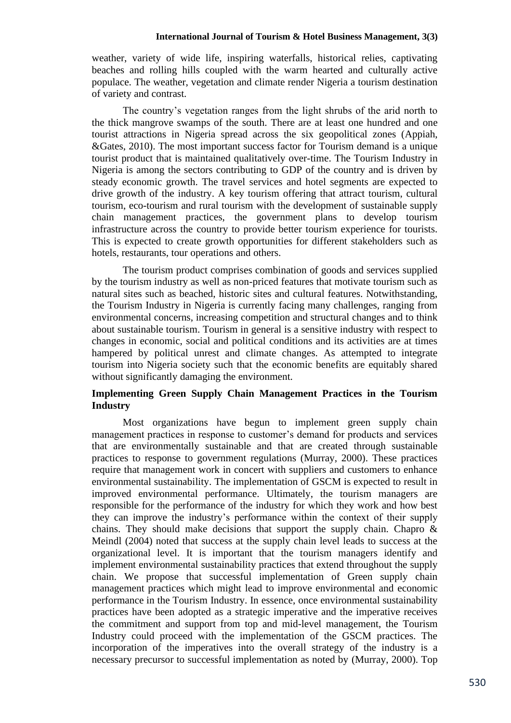#### **International Journal of Tourism & Hotel Business Management, 3(3)**

weather, variety of wide life, inspiring waterfalls, historical relies, captivating beaches and rolling hills coupled with the warm hearted and culturally active populace. The weather, vegetation and climate render Nigeria a tourism destination of variety and contrast.

The country's vegetation ranges from the light shrubs of the arid north to the thick mangrove swamps of the south. There are at least one hundred and one tourist attractions in Nigeria spread across the six geopolitical zones (Appiah, &Gates, 2010). The most important success factor for Tourism demand is a unique tourist product that is maintained qualitatively over-time. The Tourism Industry in Nigeria is among the sectors contributing to GDP of the country and is driven by steady economic growth. The travel services and hotel segments are expected to drive growth of the industry. A key tourism offering that attract tourism, cultural tourism, eco-tourism and rural tourism with the development of sustainable supply chain management practices, the government plans to develop tourism infrastructure across the country to provide better tourism experience for tourists. This is expected to create growth opportunities for different stakeholders such as hotels, restaurants, tour operations and others.

The tourism product comprises combination of goods and services supplied by the tourism industry as well as non-priced features that motivate tourism such as natural sites such as beached, historic sites and cultural features. Notwithstanding, the Tourism Industry in Nigeria is currently facing many challenges, ranging from environmental concerns, increasing competition and structural changes and to think about sustainable tourism. Tourism in general is a sensitive industry with respect to changes in economic, social and political conditions and its activities are at times hampered by political unrest and climate changes. As attempted to integrate tourism into Nigeria society such that the economic benefits are equitably shared without significantly damaging the environment.

# **Implementing Green Supply Chain Management Practices in the Tourism Industry**

Most organizations have begun to implement green supply chain management practices in response to customer's demand for products and services that are environmentally sustainable and that are created through sustainable practices to response to government regulations (Murray, 2000). These practices require that management work in concert with suppliers and customers to enhance environmental sustainability. The implementation of GSCM is expected to result in improved environmental performance. Ultimately, the tourism managers are responsible for the performance of the industry for which they work and how best they can improve the industry's performance within the context of their supply chains. They should make decisions that support the supply chain. Chapro  $\&$ Meindl (2004) noted that success at the supply chain level leads to success at the organizational level. It is important that the tourism managers identify and implement environmental sustainability practices that extend throughout the supply chain. We propose that successful implementation of Green supply chain management practices which might lead to improve environmental and economic performance in the Tourism Industry. In essence, once environmental sustainability practices have been adopted as a strategic imperative and the imperative receives the commitment and support from top and mid-level management, the Tourism Industry could proceed with the implementation of the GSCM practices. The incorporation of the imperatives into the overall strategy of the industry is a necessary precursor to successful implementation as noted by (Murray, 2000). Top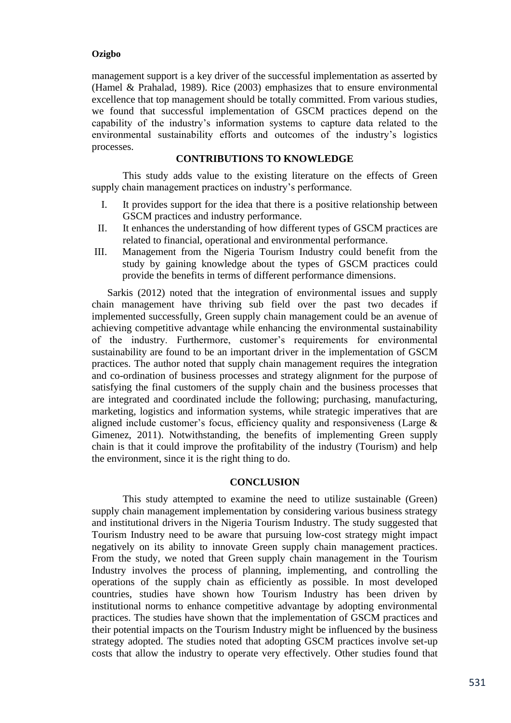management support is a key driver of the successful implementation as asserted by (Hamel & Prahalad, 1989). Rice (2003) emphasizes that to ensure environmental excellence that top management should be totally committed. From various studies, we found that successful implementation of GSCM practices depend on the capability of the industry's information systems to capture data related to the environmental sustainability efforts and outcomes of the industry's logistics processes.

#### **CONTRIBUTIONS TO KNOWLEDGE**

This study adds value to the existing literature on the effects of Green supply chain management practices on industry's performance.

- I. It provides support for the idea that there is a positive relationship between GSCM practices and industry performance.
- II. It enhances the understanding of how different types of GSCM practices are related to financial, operational and environmental performance.
- III. Management from the Nigeria Tourism Industry could benefit from the study by gaining knowledge about the types of GSCM practices could provide the benefits in terms of different performance dimensions.

Sarkis (2012) noted that the integration of environmental issues and supply chain management have thriving sub field over the past two decades if implemented successfully, Green supply chain management could be an avenue of achieving competitive advantage while enhancing the environmental sustainability of the industry. Furthermore, customer's requirements for environmental sustainability are found to be an important driver in the implementation of GSCM practices. The author noted that supply chain management requires the integration and co-ordination of business processes and strategy alignment for the purpose of satisfying the final customers of the supply chain and the business processes that are integrated and coordinated include the following; purchasing, manufacturing, marketing, logistics and information systems, while strategic imperatives that are aligned include customer's focus, efficiency quality and responsiveness (Large & Gimenez, 2011). Notwithstanding, the benefits of implementing Green supply chain is that it could improve the profitability of the industry (Tourism) and help the environment, since it is the right thing to do.

#### **CONCLUSION**

This study attempted to examine the need to utilize sustainable (Green) supply chain management implementation by considering various business strategy and institutional drivers in the Nigeria Tourism Industry. The study suggested that Tourism Industry need to be aware that pursuing low-cost strategy might impact negatively on its ability to innovate Green supply chain management practices. From the study, we noted that Green supply chain management in the Tourism Industry involves the process of planning, implementing, and controlling the operations of the supply chain as efficiently as possible. In most developed countries, studies have shown how Tourism Industry has been driven by institutional norms to enhance competitive advantage by adopting environmental practices. The studies have shown that the implementation of GSCM practices and their potential impacts on the Tourism Industry might be influenced by the business strategy adopted. The studies noted that adopting GSCM practices involve set-up costs that allow the industry to operate very effectively. Other studies found that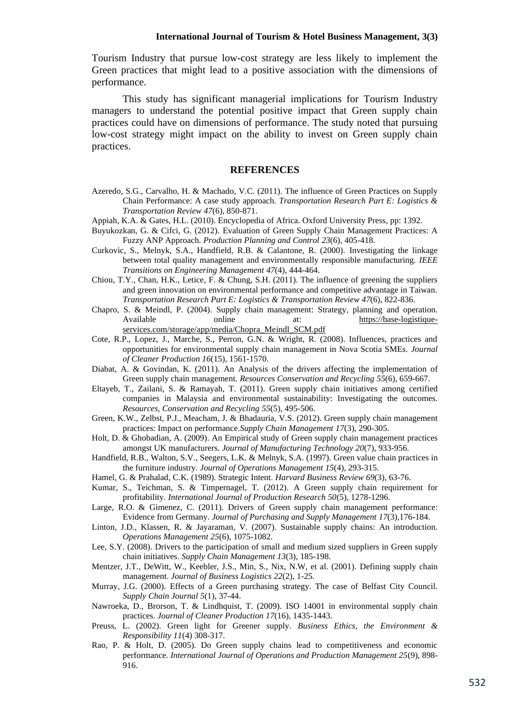Tourism Industry that pursue low-cost strategy are less likely to implement the Green practices that might lead to a positive association with the dimensions of performance.

This study has significant managerial implications for Tourism Industry managers to understand the potential positive impact that Green supply chain practices could have on dimensions of performance. The study noted that pursuing low-cost strategy might impact on the ability to invest on Green supply chain practices.

#### **REFERENCES**

- Azeredo, S.G., Carvalho, H. & Machado, V.C. (2011). The influence of Green Practices on Supply Chain Performance: A case study approach. *Transportation Research Part E: Logistics & Transportation Review 47*(6), 850-871.
- Appiah, K.A. & Gates, H.L. (2010). Encyclopedia of Africa. Oxford University Press, pp: 1392.
- Buyukozkan, G. & Cifci, G. (2012). Evaluation of Green Supply Chain Management Practices: A Fuzzy ANP Approach. *Production Planning and Control 23*(6), 405-418.
- Curkovic, S., Melnyk, S.A., Handfield, R.B. & Calantone, R. (2000). Investigating the linkage between total quality management and environmentally responsible manufacturing. *IEEE Transitions on Engineering Management 47*(4), 444-464.
- Chiou, T.Y., Chan, H.K., Letice, F. & Chung, S.H. (2011). The influence of greening the suppliers and green innovation on environmental performance and competitive advantage in Taiwan. *Transportation Research Part E: Logistics & Transportation Review 47*(6), 822-836.
- Chapro, S. & Meindl, P. (2004). Supply chain management: Strategy, planning and operation. Available online at: [https://base-logistique](https://base-logistique-services.com/storage/app/media/Chopra_Meindl_SCM.pdf)[services.com/storage/app/media/Chopra\\_Meindl\\_SCM.pdf](https://base-logistique-services.com/storage/app/media/Chopra_Meindl_SCM.pdf)
- Cote, R.P., Lopez, J., Marche, S., Perron, G.N. & Wright, R. (2008). Influences, practices and opportunities for environmental supply chain management in Nova Scotia SMEs. *Journal of Cleaner Production 16*(15), 1561-1570.
- Diabat, A. & Govindan, K. (2011). An Analysis of the drivers affecting the implementation of Green supply chain management. *Resources Conservation and Recycling 55*(6), 659-667.
- Eltayeb, T., Zailani, S. & Ramayah, T. (2011). Green supply chain initiatives among certified companies in Malaysia and environmental sustainability: Investigating the outcomes. *Resources, Conservation and Recycling 55*(5), 495-506.
- Green, K.W., Zelbst, P.J., Meacham, J. & Bhadauria, V.S. (2012). Green supply chain management practices: Impact on performance.*Supply Chain Management 17*(3), 290-305.
- Holt, D. & Ghobadian, A. (2009). An Empirical study of Green supply chain management practices amongst UK manufacturers. *Journal of Manufacturing Technology 20*(7), 933-956.
- Handfield, R.B., Walton, S.V., Seegers, L.K. & Melnyk, S.A. (1997). Green value chain practices in the furniture industry. *Journal of Operations Management 15*(4), 293-315.
- Hamel, G. & Prahalad, C.K. (1989). Strategic Intent. *Harvard Business Review 69*(3), 63-76.
- Kumar, S., Teichman, S. & Timpernagel, T. (2012). A Green supply chain requirement for profitability. *International Journal of Production Research 50*(5), 1278-1296.
- Large, R.O. & Gimenez, C. (2011). Drivers of Green supply chain management performance: Evidence from Germany. *Journal of Purchasing and Supply Management 17*(3),176-184.
- Linton, J.D., Klassen, R. & Jayaraman, V. (2007). Sustainable supply chains: An introduction. *Operations Management 25*(6), 1075-1082.
- Lee, S.Y. (2008). Drivers to the participation of small and medium sized suppliers in Green supply chain initiatives. *Supply Chain Management 13*(3), 185-198.
- Mentzer, J.T., DeWitt, W., Keebler, J.S., Min, S., Nix, N.W, et al. (2001). Defining supply chain management. *Journal of Business Logistics 22*(2), 1-25.
- Murray, J.G. (2000). Effects of a Green purchasing strategy. The case of Belfast City Council. *Supply Chain Journal 5*(1), 37-44.
- Nawroeka, D., Brorson, T. & Lindhquist, T. (2009). ISO 14001 in environmental supply chain practices. *Journal of Cleaner Production 17*(16), 1435-1443.
- Preuss, L. (2002). Green light for Greener supply. *Business Ethics, the Environment & Responsibility 11*(4) 308-317.
- Rao, P. & Holt, D. (2005). Do Green supply chains lead to competitiveness and economic performance. *International Journal of Operations and Production Management 25*(9), 898- 916.